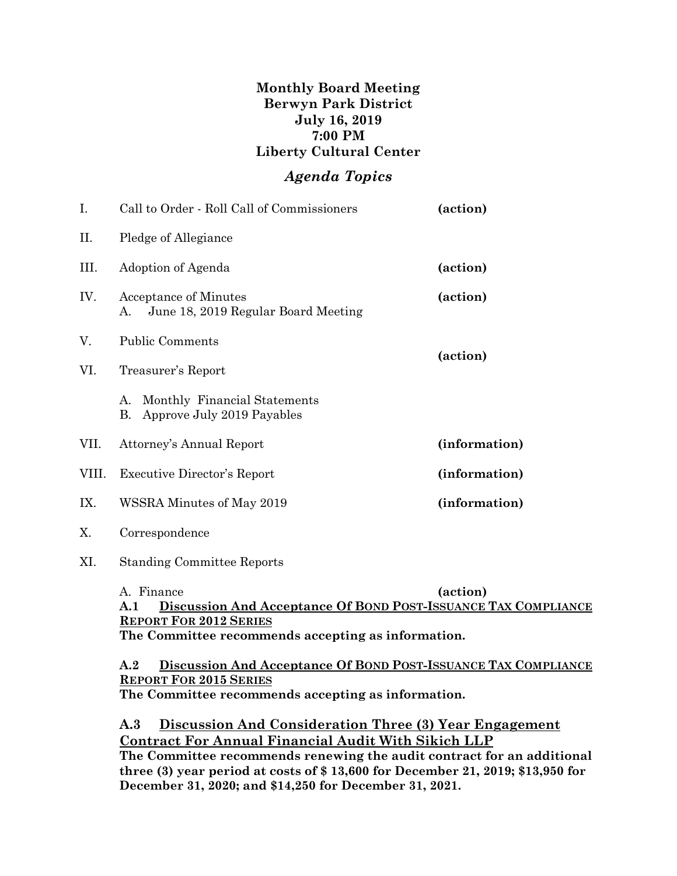## **Monthly Board Meeting Berwyn Park District July 16, 2019 7:00 PM Liberty Cultural Center**

## *Agenda Topics*

| I.    | Call to Order - Roll Call of Commissioners                                                                                                                                             | (action)      |
|-------|----------------------------------------------------------------------------------------------------------------------------------------------------------------------------------------|---------------|
| П.    | Pledge of Allegiance                                                                                                                                                                   |               |
| III.  | Adoption of Agenda                                                                                                                                                                     | (action)      |
| IV.   | <b>Acceptance of Minutes</b><br>June 18, 2019 Regular Board Meeting<br>A.                                                                                                              | (action)      |
| V.    | <b>Public Comments</b>                                                                                                                                                                 |               |
| VI.   | Treasurer's Report                                                                                                                                                                     | (action)      |
|       | Monthly Financial Statements<br>A.<br>Approve July 2019 Payables<br>В.                                                                                                                 |               |
| VII.  | Attorney's Annual Report                                                                                                                                                               | (information) |
| VIII. | <b>Executive Director's Report</b>                                                                                                                                                     | (information) |
| IX.   | WSSRA Minutes of May 2019                                                                                                                                                              | (information) |
| Χ.    | Correspondence                                                                                                                                                                         |               |
| XI.   | <b>Standing Committee Reports</b>                                                                                                                                                      |               |
|       | A. Finance<br>(action)<br>Discussion And Acceptance Of BOND POST-ISSUANCE TAX COMPLIANCE<br>A.1<br><b>REPORT FOR 2012 SERIES</b><br>The Committee recommends accepting as information. |               |

**A.2 Discussion And Acceptance Of BOND POST-ISSUANCE TAX COMPLIANCE REPORT FOR 2015 SERIES**

**The Committee recommends accepting as information.**

**A.3 Discussion And Consideration Three (3) Year Engagement Contract For Annual Financial Audit With Sikich LLP The Committee recommends renewing the audit contract for an additional three (3) year period at costs of \$ 13,600 for December 21, 2019; \$13,950 for December 31, 2020; and \$14,250 for December 31, 2021.**